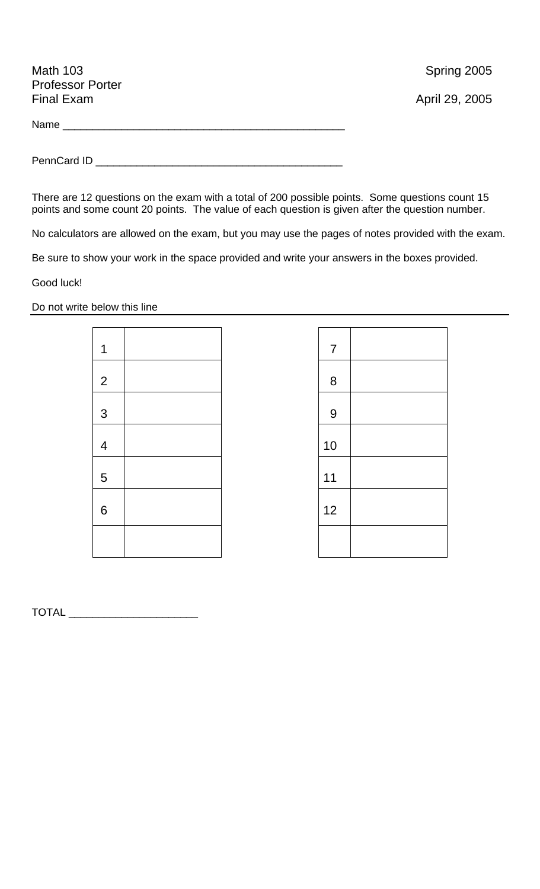| <b>Math 103</b><br><b>Professor Porter</b> | Spring 2005    |
|--------------------------------------------|----------------|
| <b>Final Exam</b>                          | April 29, 2005 |
|                                            |                |
|                                            |                |

There are 12 questions on the exam with a total of 200 possible points. Some questions count 15 points and some count 20 points. The value of each question is given after the question number.

No calculators are allowed on the exam, but you may use the pages of notes provided with the exam.

Be sure to show your work in the space provided and write your answers in the boxes provided.

Good luck!

Do not write below this line

| 1              |  |
|----------------|--|
| $\overline{2}$ |  |
| $\mathfrak{S}$ |  |
| $\overline{4}$ |  |
| 5              |  |
| 6              |  |
|                |  |

| $\overline{7}$ |  |
|----------------|--|
| 8              |  |
| 9              |  |
| 10             |  |
| 11             |  |
| 12             |  |
|                |  |

TOTAL \_\_\_\_\_\_\_\_\_\_\_\_\_\_\_\_\_\_\_\_\_\_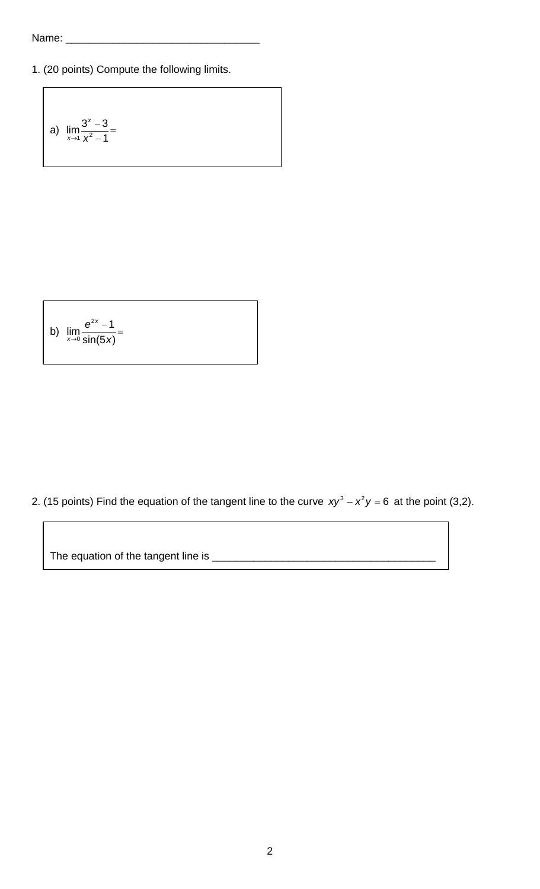1. (20 points) Compute the following limits.

a) 
$$
\lim_{x \to 1} \frac{3^{x} - 3}{x^{2} - 1} =
$$

b) 
$$
\lim_{x \to 0} \frac{e^{2x} - 1}{\sin(5x)} =
$$

2. (15 points) Find the equation of the tangent line to the curve  $xy^3 - x^2y = 6$  at the point (3,2).

The equation of the tangent line is \_\_\_\_\_\_\_\_\_\_\_\_\_\_\_\_\_\_\_\_\_\_\_\_\_\_\_\_\_\_\_\_\_\_\_\_\_\_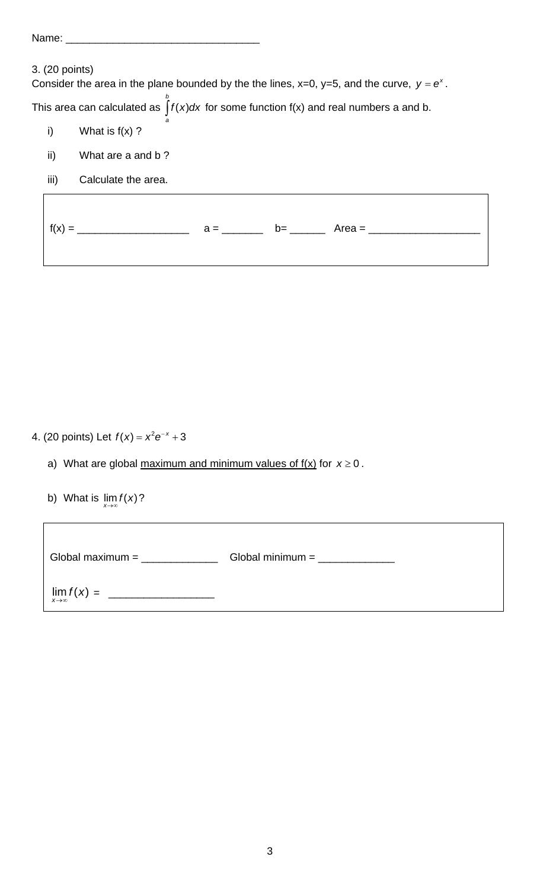| Name:          |                                                                                                |
|----------------|------------------------------------------------------------------------------------------------|
| 3. (20 points) | Consider the area in the plane bounded by the the lines, x=0, y=5, and the curve, $y = e^x$ .  |
|                | This area can calculated as $\int$ $f(x)dx$ for some function $f(x)$ and real numbers a and b. |
| i)             | What is $f(x)$ ?                                                                               |
| ii)            | What are a and b?                                                                              |
| iii)           | Calculate the area.                                                                            |
|                |                                                                                                |

| $f(x) =$ | $a =$ | $b=$ | Area = |
|----------|-------|------|--------|
|          |       |      |        |

 $\overline{\phantom{a}}$ 

٦

4. (20 points) Let  $f(x) = x^2 e^{-x} + 3$ 

- a) What are global maximum and minimum values of  $f(x)$  for  $x \ge 0$ .
- b) What is  $\lim_{x\to\infty} f(x)$ ?

| Global maximum $=$        | Global minimum $=$ |
|---------------------------|--------------------|
| $\lim_{x\to\infty}f(x) =$ |                    |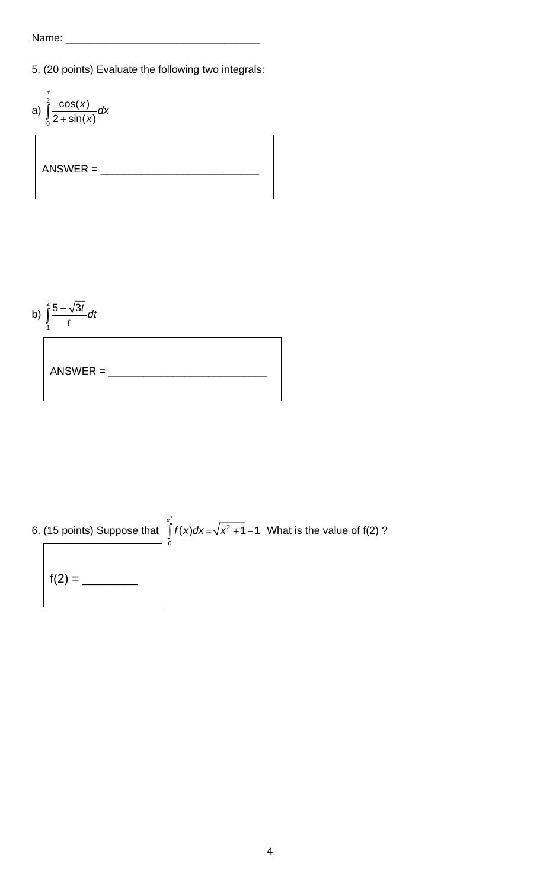5. (20 points) Evaluate the following two integrals:





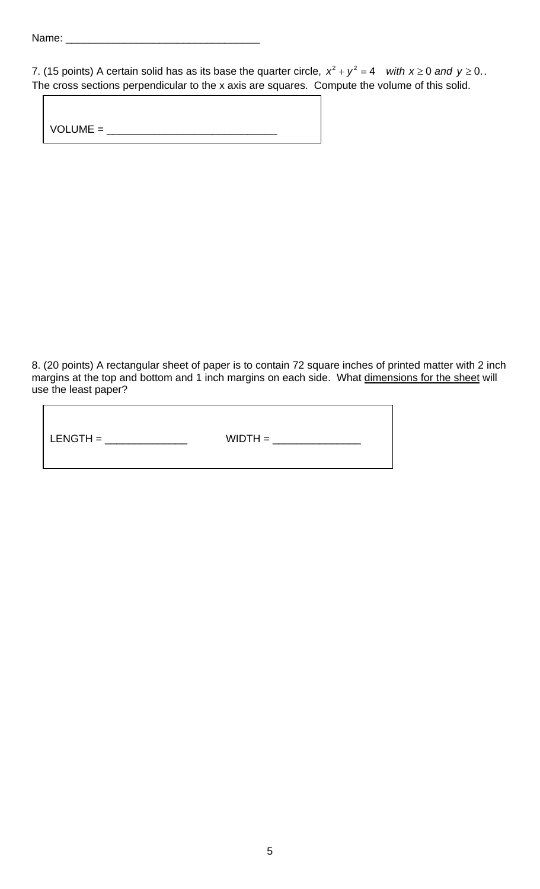$\overline{a}$ 

| 7. (15 points) A certain solid has as its base the quarter circle, $x^2 + y^2 = 4$ with $x \ge 0$ and $y \ge 0$ . |  |
|-------------------------------------------------------------------------------------------------------------------|--|
| The cross sections perpendicular to the x axis are squares. Compute the volume of this solid.                     |  |

| $VOLUME =$ |  |  |  |
|------------|--|--|--|
|            |  |  |  |

8. (20 points) A rectangular sheet of paper is to contain 72 square inches of printed matter with 2 inch margins at the top and bottom and 1 inch margins on each side. What dimensions for the sheet will use the least paper?

| $LENGTH =$<br>$WIDTH =$ |
|-------------------------|
|-------------------------|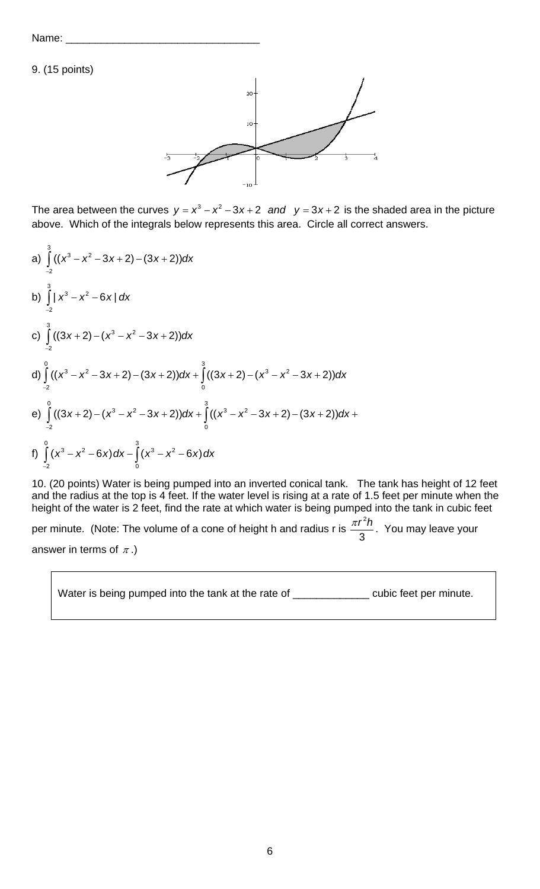Name:

9. (15 points)



The area between the curves  $y = x^3 - x^2 - 3x + 2$  and  $y = 3x + 2$  is the shaded area in the picture above. Which of the integrals below represents this area. Circle all correct answers.

a) 
$$
\int_{-2}^{3} ((x^3 - x^2 - 3x + 2) - (3x + 2))dx
$$
  
\nb) 
$$
\int_{-2}^{3} |x^3 - x^2 - 6x| dx
$$
  
\nc) 
$$
\int_{-2}^{3} ((3x + 2) - (x^3 - x^2 - 3x + 2))dx
$$
  
\nd) 
$$
\int_{-2}^{0} ((x^3 - x^2 - 3x + 2) - (3x + 2))dx + \int_{0}^{3} ((3x + 2) - (x^3 - x^2 - 3x + 2))dx
$$
  
\ne) 
$$
\int_{-2}^{0} ((3x + 2) - (x^3 - x^2 - 3x + 2))dx + \int_{0}^{3} ((x^3 - x^2 - 3x + 2) - (3x + 2))dx +
$$
  
\nf) 
$$
\int_{-2}^{0} (x^3 - x^2 - 6x) dx - \int_{0}^{3} (x^3 - x^2 - 6x) dx
$$

10. (20 points) Water is being pumped into an inverted conical tank. The tank has height of 12 feet and the radius at the top is 4 feet. If the water level is rising at a rate of 1.5 feet per minute when the height of the water is 2 feet, find the rate at which water is being pumped into the tank in cubic feet 2

per minute. (Note: The volume of a cone of height h and radius r is 3  $\frac{\pi r^2 h}{2}$ . You may leave your answer in terms of  $\pi$ .)

Water is being pumped into the tank at the rate of \_\_\_\_\_\_\_\_\_\_\_\_\_\_\_\_ cubic feet per minute.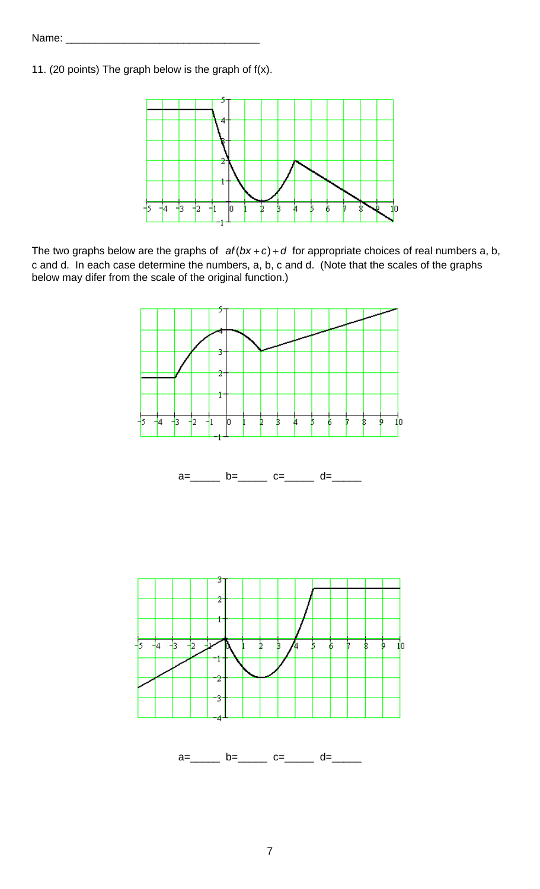11. (20 points) The graph below is the graph of f(x).



The two graphs below are the graphs of  $af(bx+c)+d$  for appropriate choices of real numbers a, b, c and d. In each case determine the numbers, a, b, c and d. (Note that the scales of the graphs below may difer from the scale of the original function.)